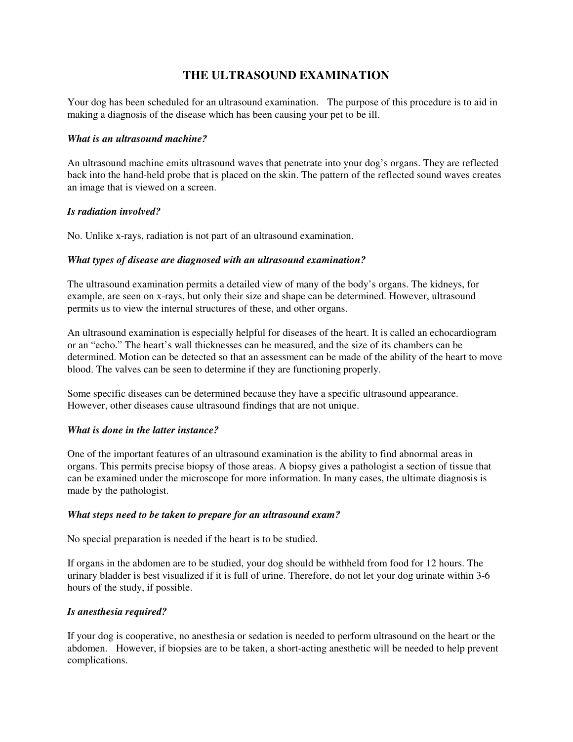# **THE ULTRASOUND EXAMINATION**

Your dog has been scheduled for an ultrasound examination. The purpose of this procedure is to aid in making a diagnosis of the disease which has been causing your pet to be ill.

## *What is an ultrasound machine?*

An ultrasound machine emits ultrasound waves that penetrate into your dog's organs. They are reflected back into the hand-held probe that is placed on the skin. The pattern of the reflected sound waves creates an image that is viewed on a screen.

# *Is radiation involved?*

No. Unlike x-rays, radiation is not part of an ultrasound examination.

# *What types of disease are diagnosed with an ultrasound examination?*

The ultrasound examination permits a detailed view of many of the body's organs. The kidneys, for example, are seen on x-rays, but only their size and shape can be determined. However, ultrasound permits us to view the internal structures of these, and other organs.

An ultrasound examination is especially helpful for diseases of the heart. It is called an echocardiogram or an "echo." The heart's wall thicknesses can be measured, and the size of its chambers can be determined. Motion can be detected so that an assessment can be made of the ability of the heart to move blood. The valves can be seen to determine if they are functioning properly.

Some specific diseases can be determined because they have a specific ultrasound appearance. However, other diseases cause ultrasound findings that are not unique.

## *What is done in the latter instance?*

One of the important features of an ultrasound examination is the ability to find abnormal areas in organs. This permits precise biopsy of those areas. A biopsy gives a pathologist a section of tissue that can be examined under the microscope for more information. In many cases, the ultimate diagnosis is made by the pathologist.

## *What steps need to be taken to prepare for an ultrasound exam?*

No special preparation is needed if the heart is to be studied.

If organs in the abdomen are to be studied, your dog should be withheld from food for 12 hours. The urinary bladder is best visualized if it is full of urine. Therefore, do not let your dog urinate within 3-6 hours of the study, if possible.

## *Is anesthesia required?*

If your dog is cooperative, no anesthesia or sedation is needed to perform ultrasound on the heart or the abdomen. However, if biopsies are to be taken, a short-acting anesthetic will be needed to help prevent complications.